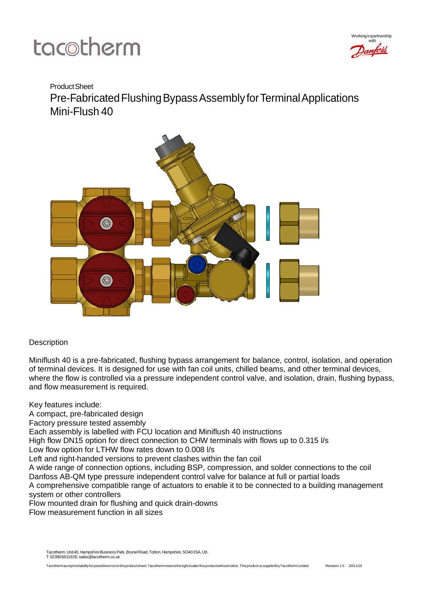

### ProductSheet

Pre-Fabricated Flushing Bypass Assembly for Terminal Applications Mini-Flush 40



### **Description**

Miniflush 40 is a pre-fabricated, flushing bypass arrangement for balance, control, isolation, and operation of terminal devices. It is designed for use with fan coil units, chilled beams, and other terminal devices, where the flow is controlled via a pressure independent control valve, and isolation, drain, flushing bypass, and flow measurement is required.

Key features include:

A compact, pre-fabricated design

Factory pressure tested assembly

Each assembly is labelled with FCU location and Miniflush 40 instructions

High flow DN15 option for direct connection to CHW terminals with flows up to 0.315 l/s

Low flow option for LTHW flow rates down to 0.008 l/s

Left and right-handed versions to prevent clashes within the fan coil

A wide range of connection options, including BSP, compression, and solder connections to the coil Danfoss AB-QM type pressure independent control valve for balance at full or partial loads

A comprehensive compatible range of actuators to enable it to be connected to a building management system or other controllers

Flow mounted drain for flushing and quick drain-downs

Flow measurement function in all sizes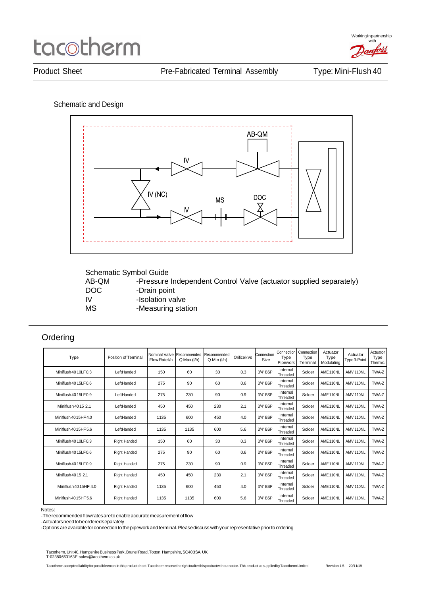

Schematic and Design



|  | Schematic Symbol Guide |  |
|--|------------------------|--|
|--|------------------------|--|

AB-QM -Pressure Independent Control Valve (actuator supplied separately)<br>DOC - Drain point DOC -Drain point<br>IV -Isolation va -Isolation valve MS -Measuring station

### **Ordering**

| Type                  | Position of Terminal | Nominal Valve Recommended<br>Flow Rate I/h | $Q$ Max $(l/h)$ | Recommended<br>$Q$ Min $(I/h)$ | OrificekVs | Connection<br>Size | Connection<br>Type<br>Pipework | Connection<br>Type<br>Terminal | Actuator<br>Type<br>Modulating | Actuator<br>Type 3-Point | Actuator<br>Type<br>Thermic |
|-----------------------|----------------------|--------------------------------------------|-----------------|--------------------------------|------------|--------------------|--------------------------------|--------------------------------|--------------------------------|--------------------------|-----------------------------|
| Miniflush 40 10LF0.3  | LeftHanded           | 150                                        | 60              | 30                             | 0.3        | 3/4" BSP           | Internal<br>Threaded           | Solder                         | AME <sub>110NL</sub>           | AMV 110NL                | TWA-Z                       |
| Miniflush 40 15LF0.6  | LeftHanded           | 275                                        | 90              | 60                             | 0.6        | 3/4" BSP           | Internal<br>Threaded           | Solder                         | AME <sub>110NL</sub>           | AMV 110NL                | TWA-Z                       |
| Miniflush 40 15LF0.9  | LeftHanded           | 275                                        | 230             | 90                             | 0.9        | 3/4" BSP           | Internal<br>Threaded           | Solder                         | AME <sub>110NL</sub>           | AMV 110NL                | TWA-Z                       |
| Miniflush 4015 2.1    | LeftHanded           | 450                                        | 450             | 230                            | 2.1        | 3/4" BSP           | Internal<br>Threaded           | Solder                         | AME <sub>110NL</sub>           | AMV 110NL                | TWA-Z                       |
| Miniflush 4015HF 4.0  | LeftHanded           | 1135                                       | 600             | 450                            | 4.0        | 3/4" BSP           | Internal<br>Threaded           | Solder                         | AME <sub>110NL</sub>           | AMV 110NL                | TWA-Z                       |
| Miniflush 40 15HF 5.6 | LeftHanded           | 1135                                       | 1135            | 600                            | 5.6        | 3/4" BSP           | Internal<br>Threaded           | Solder                         | AME <sub>110NL</sub>           | AMV 110NL                | TWA-Z                       |
| Miniflush 40 10LF0.3  | <b>Right Handed</b>  | 150                                        | 60              | 30                             | 0.3        | 3/4" BSP           | Internal<br>Threaded           | Solder                         | AME <sub>110NL</sub>           | AMV 110NL                | TWA-Z                       |
| Miniflush 40 15LF0.6  | <b>Right Handed</b>  | 275                                        | 90              | 60                             | 0.6        | 3/4" BSP           | Internal<br>Threaded           | Solder                         | AME <sub>110NL</sub>           | AMV 110NL                | TWA-Z                       |
| Miniflush 40 15LF0.9  | <b>Right Handed</b>  | 275                                        | 230             | 90                             | 0.9        | 3/4" BSP           | Internal<br>Threaded           | Solder                         | AME <sub>110NL</sub>           | AMV 110NL                | TWA-Z                       |
| Miniflush 40 15 2.1   | <b>Right Handed</b>  | 450                                        | 450             | 230                            | 2.1        | 3/4" BSP           | Internal<br>Threaded           | Solder                         | AME <sub>110NL</sub>           | AMV 110NL                | TWA-Z                       |
| Miniflush 40 15HF 4.0 | <b>Right Handed</b>  | 1135                                       | 600             | 450                            | 4.0        | 3/4" BSP           | Internal<br>Threaded           | Solder                         | AME <sub>110NL</sub>           | AMV 110NL                | TWA-Z                       |
| Miniflush 4015HF 5.6  | <b>Right Handed</b>  | 1135                                       | 1135            | 600                            | 5.6        | 3/4" BSP           | Internal<br>Threaded           | Solder                         | AME <sub>110NL</sub>           | AMV 110NL                | TWA-Z                       |

#### Notes:

-The recommended flow rates are to enable accurate measurement of flow

-Actuatorsneedtobeorderedseparately

-Options are available for connection to the pipework and terminal. Please discuss with your representative prior to ordering

Tacotherm, Unit40, Hampshire Business Park, Brunel Road, Totton, Hampshire, SO403SA, UK. T:02380663163E[:sales@tacotherm.co.uk](mailto:sales@tacotherm.co.uk)

Tacothermacceptnoliabilityforpossibleerrorsinthisproductsheet.Tacothermreservetherighttoalterthisproductwithoutnotice.ThisproductussuppliedbyTacothermLimited Revision 1.5 20/11/19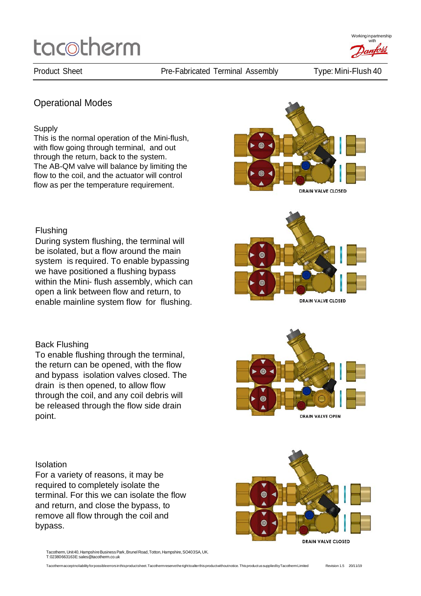Workinginpartnership with

### Operational Modes

#### **Supply**

This is the normal operation of the Mini-flush, with flow going through terminal, and out through the return, back to the system. The AB-QM valve will balance by limiting the flow to the coil, and the actuator will control flow as per the temperature requirement.



ெ

#### Flushing

During system flushing, the terminal will be isolated, but a flow around the main system is required. To enable bypassing we have positioned a flushing bypass within the Mini- flush assembly, which can open a link between flow and return, to enable mainline system flow for flushing.

#### Back Flushing

To enable flushing through the terminal, the return can be opened, with the flow and bypass isolation valves closed. The drain is then opened, to allow flow through the coil, and any coil debris will be released through the flow side drain point.

#### **Isolation**

For a variety of reasons, it may be required to completely isolate the terminal. For this we can isolate the flow and return, and close the bypass, to remove all flow through the coil and bypass.

Tacotherm, Unit 40, Hampshire Business Park, Brunel Road, Totton, Hampshire, SO403SA, UK. T:02380663163E[:sales@tacotherm.co.uk](mailto:sales@tacotherm.co.uk)





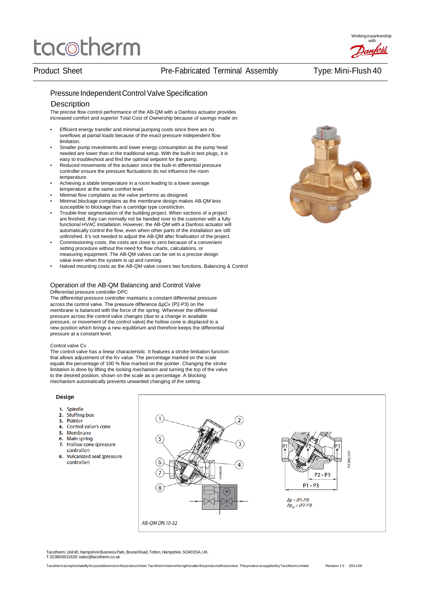#### Pressure Independent Control Valve Specification

#### **Description**

The precise flow control performance of the AB-QM with a Danfoss actuator provides increased comfort and superior Total Cost of Ownership because of savings made on:

- Efficient energy transfer and minimal pumping costs since there are no overflows at partial loads because of the exact pressure independent flow limitation.
- Smaller pump investments and lower energy consumption as the pump head needed are lower than in the traditional setup. With the built-in test plugs, it is easy to troubleshoot and find the optimal setpoint for the pump.
- Reduced movements of the actuator since the built-in differential pressure controller ensure the pressure fluctuations do not influence the room temperature.
- Achieving a stable temperature in a room leading to a lower average temperature at the same comfort level.
- Minimal flow complains as the valve performs as designed.
- Minimal blockage complains as the membrane design makes AB-QM less susceptible to blockage than a cartridge type constriction.
- Trouble-free segmentation of the building project. When sections of a project are finished, they can normally not be handed over to the customer with a fully functional HVAC installation. However, the AB-QM with a Danfoss actuator will automatically control the flow, even when other parts of the installation are still unfinished. It's not needed to adjust the AB-QM after finalisation of the project.
- Commissioning costs, the costs are close to zero because of a convenient setting procedure without the need for flow charts, calculations, or measuring equipment. The AB-QM valves can be set to a precise design value even when the system is up and running.
- Halved mounting costs as the AB-QM valve covers two functions, Balancing & Control

#### Operation of the AB-QM Balancing and Control Valve Differential pressure controller DPC

The differential pressure controller maintains a constant differential pressure across the control valve. The pressure difference ΔpCv (P2-P3) on the membrane is balanced with the force of the spring. Whenever the differential pressure across the control valve changes (due to a change in available pressure, or movement of the control valve) the hollow cone is displaced to a new position which brings a new equilibrium and therefore keeps the differential pressure at a constant level.

#### Control valve Cv

The control valve has a linear characteristic. It features a stroke limitation function that allows adjustment of the Kv value. The percentage marked on the scale equals the percentage of 100 % flow marked on the pointer. Changing the stroke limitation is done by lifting the locking mechanism and turning the top of the valve to the desired position, shown on the scale as a percentage. A blocking mechanism automatically prevents unwanted changing of the setting.

#### **Design**

- 1. Spindle
- **Stuffing box**  $2.$
- $3.$ Pointer
- $\overline{4}$ . Control valve's cone
- $5.$ Membrane
- **Main spring** 6.
- $\mathbf{z}$ Hollow cone (pressure controller)
- 8. Vulcanized seat (pressure controller)



Tacotherm, Unit 40, Hampshire Business Park, Brunel Road, Totton, Hampshire, SO403SA, UK. T:02380663163E[:sales@tacotherm.co.uk](mailto:sales@tacotherm.co.uk)

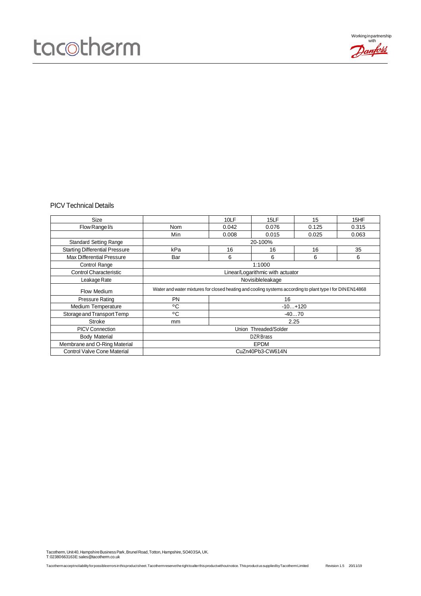

#### PICV Technical Details

| Size                                  |                                                                                                           | 10LF  | 15LF                  | 15      | 15HF  |  |
|---------------------------------------|-----------------------------------------------------------------------------------------------------------|-------|-----------------------|---------|-------|--|
| Flow Range I/s                        | <b>Nom</b>                                                                                                | 0.042 | 0.076                 | 0.125   | 0.315 |  |
|                                       | Min                                                                                                       | 0.008 | 0.015                 | 0.025   | 0.063 |  |
| <b>Standard Setting Range</b>         | 20-100%                                                                                                   |       |                       |         |       |  |
| <b>Starting Differential Pressure</b> | kPa                                                                                                       | 16    | 16                    | 16      | 35    |  |
| <b>Max Differential Pressure</b>      | Bar                                                                                                       | 6     | 6                     | 6       | 6     |  |
| Control Range                         | 1:1000                                                                                                    |       |                       |         |       |  |
| <b>Control Characteristic</b>         | Linear/Logarithmic with actuator                                                                          |       |                       |         |       |  |
| Leakage Rate                          | Novisibleleakage                                                                                          |       |                       |         |       |  |
|                                       | Water and water mixtures for closed heating and cooling systems according to plant type I for DIN EN14868 |       |                       |         |       |  |
| Flow Medium                           |                                                                                                           |       |                       |         |       |  |
| <b>Pressure Rating</b>                | <b>PN</b>                                                                                                 |       | 16                    |         |       |  |
| <b>Medium Temperature</b>             | °C                                                                                                        |       | $-10+120$             |         |       |  |
| Storage and Transport Temp            | °C                                                                                                        |       |                       | $-4070$ |       |  |
| Stroke                                | mm                                                                                                        |       | 2.25                  |         |       |  |
| <b>PICV Connection</b>                |                                                                                                           |       | Union Threaded/Solder |         |       |  |
| <b>Body Material</b>                  |                                                                                                           |       | DZR Brass             |         |       |  |
| Membrane and O-Ring Material          |                                                                                                           |       | <b>EPDM</b>           |         |       |  |

Tacotherm, Unit 40, Hampshire Business Park, Brunel Road, Totton, Hampshire, SO403SA, UK.<br>T:02380663163E: sales@tacotherm.co.uk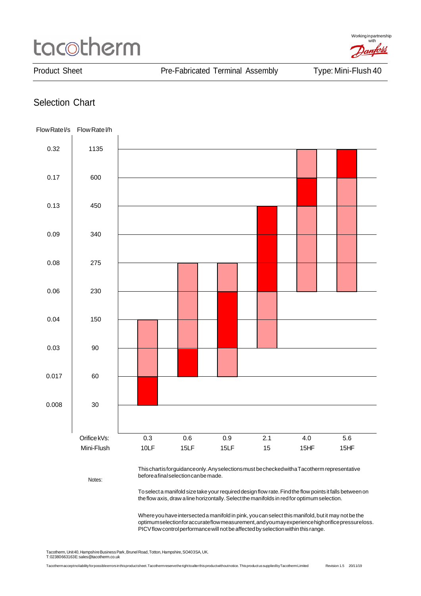Working in partnership with anfoss

Product Sheet **Product Sheet** Pre-Fabricated Terminal Assembly Type: Mini-Flush 40

### Selection Chart



Thischartisforguidanceonly.Anyselectionsmust becheckedwithaTacothermrepresentative beforeafinalselectioncanbemade.

Notes:

To select a manifold size take your required design flow rate. Find the flow points it falls between on the flow axis, draw a line horizontally. Select the manifolds in red for optimum selection.

Where you have intersected a manifold in pink, you can select this manifold, but it may not be the optimumselectionforaccurateflowmeasurement,andyoumayexperiencehighorificepressureloss. PICV flow control performance will not be affected by selection within this range.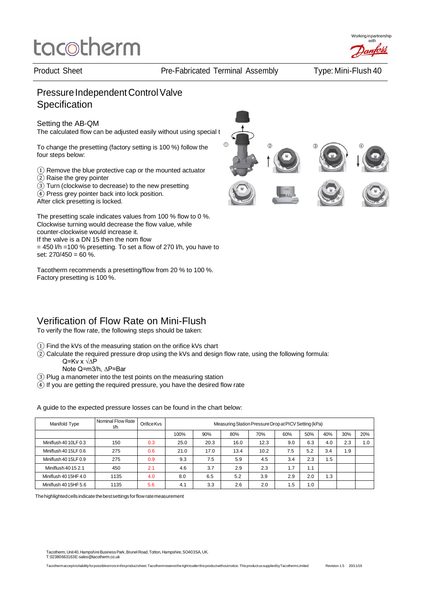Working in partnership with

## Pressure Independent Control Valve **Specification**

### Setting the AB-QM

The calculated flow can be adjusted easily without using special t

To change the presetting (factory setting is 100 %) follow the four steps below:

- ① Remove the blue protective cap or the mounted actuator
- ② Raise the grey pointer
- ③ Turn (clockwise to decrease) to the new presetting
- ④ Press grey pointer back into lock position.

After click presetting is locked.

The presetting scale indicates values from 100 % flow to 0 %. Clockwise turning would decrease the flow value, while counter-clockwise would increase it. If the valve is a DN 15 then the nom flow  $= 450$  I/h =100 % presetting. To set a flow of 270 I/h, you have to set:  $270/450 = 60\%$ .

Tacotherm recommends a presetting/flow from 20 % to 100 %. Factory presetting is 100 %.



### Verification of Flow Rate on Mini-Flush

To verify the flow rate, the following steps should be taken:

- ① Find the kVs of the measuring station on the orifice kVs chart
- $\widehat{2}$ ) Calculate the required pressure drop using the kVs and design flow rate, using the following formula:
	- Q=Kv x √∆P Note Q=m3/h, ∆P=Bar
- ③ Plug a manometer into the test points on the measuring station
- $\widetilde{4}$ ) If you are getting the required pressure, you have the desired flow rate

Manifold Type **Nominal Flow Rate** OrificeKvs<br>
100% Measuring Station Pressure Drop at PICV Setting (kPa)<br>
100% 90% 80% 70% 60% 50% 100% | 90% | 80% | 70% | 60% | 50% | 40% | 30% | 20% Miniflush 40 10LF 0.3 | 150 | 0.3 | 25.0 | 20.3 | 16.0 | 12.3 | 9.0 | 6.3 | 4.0 | 2.3 | 1.0 Miniflush 40 15LF 0.6 275 0.6 21.0 17.0 13.4 10.2 7.5 5.2 3.4 1.9 Miniflush 40 15LF 0.9 275 0.9 9.3 7.5 5.9 4.5 3.4 2.3 1.5 Miniflush 40 15 2.1 450 2.1 4.6 3.7 2.9 2.3 1.7 1.1 Miniflush 40 15HF 4.0 | 1135 | 4.0 | 8.0 | 6.5 | 5.2 | 3.9 | 2.9 | 2.0 | 1.3 Miniflush 40 15HF 5.6 1135 5.6 4.1 3.3 2.6 2.0 1.5 1.0

A guide to the expected pressure losses can be found in the chart below:

The highlighted cells indicate the best settings for flow rate measurement

Tacotherm, Unit 40, Hampshire Business Park, Brunel Road, Totton, Hampshire, SO403SA, UK. T:02380663163E[:sales@tacotherm.co.uk](mailto:sales@tacotherm.co.uk)